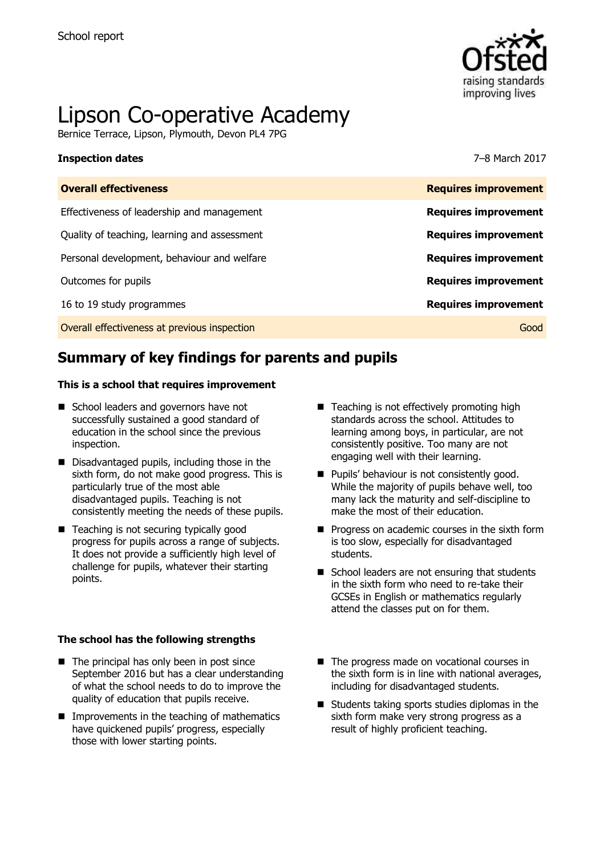

# Lipson Co-operative Academy

Bernice Terrace, Lipson, Plymouth, Devon PL4 7PG

#### **Inspection dates** 7–8 March 2017

| <b>Overall effectiveness</b>                 | <b>Requires improvement</b> |
|----------------------------------------------|-----------------------------|
| Effectiveness of leadership and management   | <b>Requires improvement</b> |
| Quality of teaching, learning and assessment | <b>Requires improvement</b> |
| Personal development, behaviour and welfare  | <b>Requires improvement</b> |
| Outcomes for pupils                          | <b>Requires improvement</b> |
| 16 to 19 study programmes                    | <b>Requires improvement</b> |
| Overall effectiveness at previous inspection | Good                        |

# **Summary of key findings for parents and pupils**

#### **This is a school that requires improvement**

- School leaders and governors have not successfully sustained a good standard of education in the school since the previous inspection.
- Disadvantaged pupils, including those in the sixth form, do not make good progress. This is particularly true of the most able disadvantaged pupils. Teaching is not consistently meeting the needs of these pupils.
- Teaching is not securing typically good progress for pupils across a range of subjects. It does not provide a sufficiently high level of challenge for pupils, whatever their starting points.

#### **The school has the following strengths**

- $\blacksquare$  The principal has only been in post since September 2016 but has a clear understanding of what the school needs to do to improve the quality of education that pupils receive.
- $\blacksquare$  Improvements in the teaching of mathematics have quickened pupils' progress, especially those with lower starting points.
- Teaching is not effectively promoting high standards across the school. Attitudes to learning among boys, in particular, are not consistently positive. Too many are not engaging well with their learning.
- **Pupils' behaviour is not consistently good.** While the majority of pupils behave well, too many lack the maturity and self-discipline to make the most of their education.
- $\blacksquare$  Progress on academic courses in the sixth form is too slow, especially for disadvantaged students.
- $\blacksquare$  School leaders are not ensuring that students in the sixth form who need to re-take their GCSEs in English or mathematics regularly attend the classes put on for them.
- The progress made on vocational courses in the sixth form is in line with national averages, including for disadvantaged students.
- $\blacksquare$  Students taking sports studies diplomas in the sixth form make very strong progress as a result of highly proficient teaching.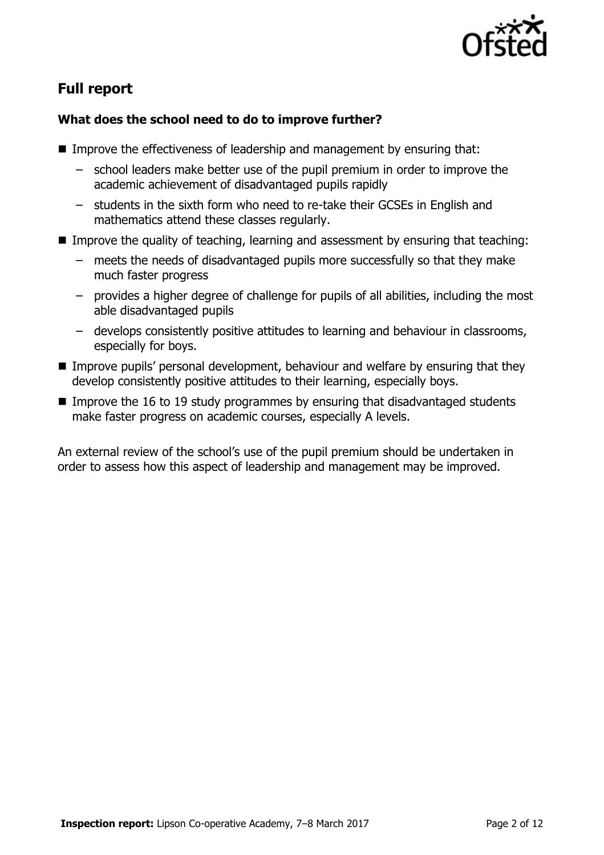

# **Full report**

### **What does the school need to do to improve further?**

- Improve the effectiveness of leadership and management by ensuring that:
	- school leaders make better use of the pupil premium in order to improve the academic achievement of disadvantaged pupils rapidly
	- students in the sixth form who need to re-take their GCSEs in English and mathematics attend these classes regularly.
- Improve the quality of teaching, learning and assessment by ensuring that teaching:
	- meets the needs of disadvantaged pupils more successfully so that they make much faster progress
	- provides a higher degree of challenge for pupils of all abilities, including the most able disadvantaged pupils
	- develops consistently positive attitudes to learning and behaviour in classrooms, especially for boys.
- Improve pupils' personal development, behaviour and welfare by ensuring that they develop consistently positive attitudes to their learning, especially boys.
- Improve the 16 to 19 study programmes by ensuring that disadvantaged students make faster progress on academic courses, especially A levels.

An external review of the school's use of the pupil premium should be undertaken in order to assess how this aspect of leadership and management may be improved.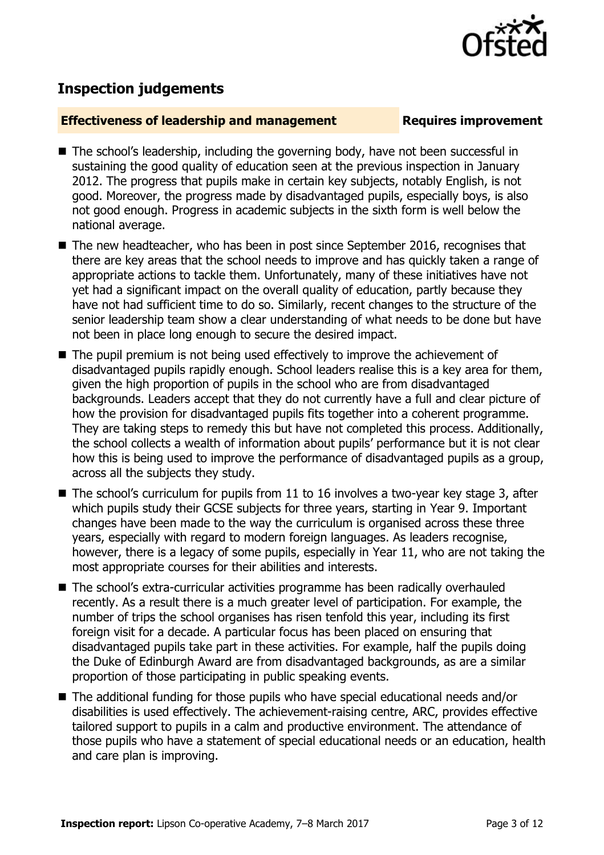

## **Inspection judgements**

#### **Effectiveness of leadership and management Requires improvement**

- The school's leadership, including the governing body, have not been successful in sustaining the good quality of education seen at the previous inspection in January 2012. The progress that pupils make in certain key subjects, notably English, is not good. Moreover, the progress made by disadvantaged pupils, especially boys, is also not good enough. Progress in academic subjects in the sixth form is well below the national average.
- The new headteacher, who has been in post since September 2016, recognises that there are key areas that the school needs to improve and has quickly taken a range of appropriate actions to tackle them. Unfortunately, many of these initiatives have not yet had a significant impact on the overall quality of education, partly because they have not had sufficient time to do so. Similarly, recent changes to the structure of the senior leadership team show a clear understanding of what needs to be done but have not been in place long enough to secure the desired impact.
- The pupil premium is not being used effectively to improve the achievement of disadvantaged pupils rapidly enough. School leaders realise this is a key area for them, given the high proportion of pupils in the school who are from disadvantaged backgrounds. Leaders accept that they do not currently have a full and clear picture of how the provision for disadvantaged pupils fits together into a coherent programme. They are taking steps to remedy this but have not completed this process. Additionally, the school collects a wealth of information about pupils' performance but it is not clear how this is being used to improve the performance of disadvantaged pupils as a group, across all the subjects they study.
- The school's curriculum for pupils from 11 to 16 involves a two-year key stage 3, after which pupils study their GCSE subjects for three years, starting in Year 9. Important changes have been made to the way the curriculum is organised across these three years, especially with regard to modern foreign languages. As leaders recognise, however, there is a legacy of some pupils, especially in Year 11, who are not taking the most appropriate courses for their abilities and interests.
- The school's extra-curricular activities programme has been radically overhauled recently. As a result there is a much greater level of participation. For example, the number of trips the school organises has risen tenfold this year, including its first foreign visit for a decade. A particular focus has been placed on ensuring that disadvantaged pupils take part in these activities. For example, half the pupils doing the Duke of Edinburgh Award are from disadvantaged backgrounds, as are a similar proportion of those participating in public speaking events.
- The additional funding for those pupils who have special educational needs and/or disabilities is used effectively. The achievement-raising centre, ARC, provides effective tailored support to pupils in a calm and productive environment. The attendance of those pupils who have a statement of special educational needs or an education, health and care plan is improving.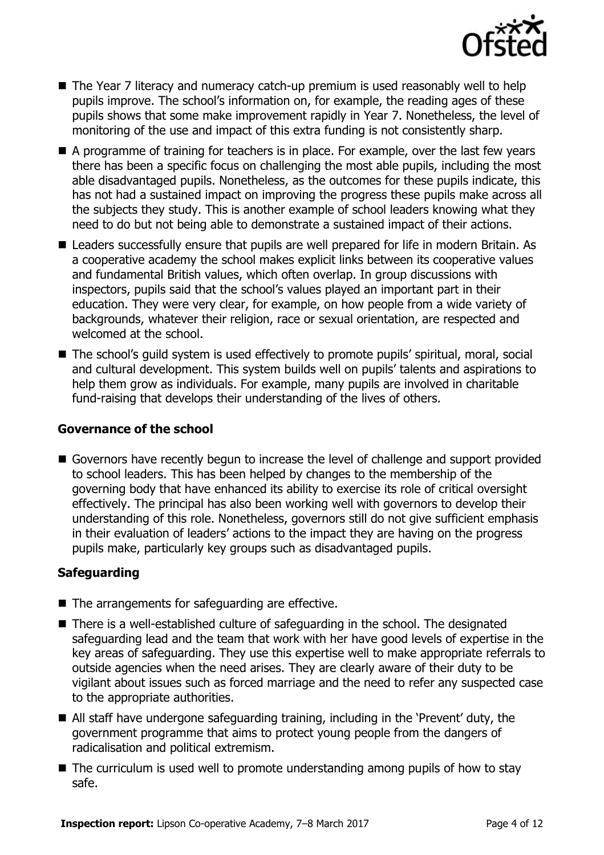

- The Year 7 literacy and numeracy catch-up premium is used reasonably well to help pupils improve. The school's information on, for example, the reading ages of these pupils shows that some make improvement rapidly in Year 7. Nonetheless, the level of monitoring of the use and impact of this extra funding is not consistently sharp.
- A programme of training for teachers is in place. For example, over the last few years there has been a specific focus on challenging the most able pupils, including the most able disadvantaged pupils. Nonetheless, as the outcomes for these pupils indicate, this has not had a sustained impact on improving the progress these pupils make across all the subjects they study. This is another example of school leaders knowing what they need to do but not being able to demonstrate a sustained impact of their actions.
- Leaders successfully ensure that pupils are well prepared for life in modern Britain. As a cooperative academy the school makes explicit links between its cooperative values and fundamental British values, which often overlap. In group discussions with inspectors, pupils said that the school's values played an important part in their education. They were very clear, for example, on how people from a wide variety of backgrounds, whatever their religion, race or sexual orientation, are respected and welcomed at the school.
- The school's quild system is used effectively to promote pupils' spiritual, moral, social and cultural development. This system builds well on pupils' talents and aspirations to help them grow as individuals. For example, many pupils are involved in charitable fund-raising that develops their understanding of the lives of others.

#### **Governance of the school**

Governors have recently begun to increase the level of challenge and support provided to school leaders. This has been helped by changes to the membership of the governing body that have enhanced its ability to exercise its role of critical oversight effectively. The principal has also been working well with governors to develop their understanding of this role. Nonetheless, governors still do not give sufficient emphasis in their evaluation of leaders' actions to the impact they are having on the progress pupils make, particularly key groups such as disadvantaged pupils.

### **Safeguarding**

- The arrangements for safeguarding are effective.
- There is a well-established culture of safeguarding in the school. The designated safeguarding lead and the team that work with her have good levels of expertise in the key areas of safeguarding. They use this expertise well to make appropriate referrals to outside agencies when the need arises. They are clearly aware of their duty to be vigilant about issues such as forced marriage and the need to refer any suspected case to the appropriate authorities.
- All staff have undergone safeguarding training, including in the 'Prevent' duty, the government programme that aims to protect young people from the dangers of radicalisation and political extremism.
- $\blacksquare$  The curriculum is used well to promote understanding among pupils of how to stay safe.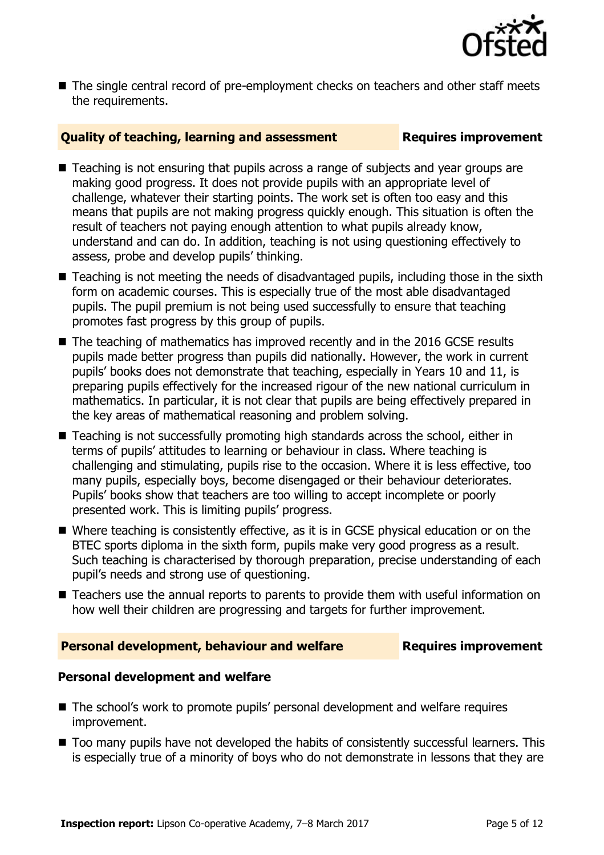

■ The single central record of pre-employment checks on teachers and other staff meets the requirements.

### **Quality of teaching, learning and assessment Fig. 2.1 Requires improvement**

- Teaching is not ensuring that pupils across a range of subjects and year groups are making good progress. It does not provide pupils with an appropriate level of challenge, whatever their starting points. The work set is often too easy and this means that pupils are not making progress quickly enough. This situation is often the result of teachers not paying enough attention to what pupils already know, understand and can do. In addition, teaching is not using questioning effectively to assess, probe and develop pupils' thinking.
- Teaching is not meeting the needs of disadvantaged pupils, including those in the sixth form on academic courses. This is especially true of the most able disadvantaged pupils. The pupil premium is not being used successfully to ensure that teaching promotes fast progress by this group of pupils.
- The teaching of mathematics has improved recently and in the 2016 GCSE results pupils made better progress than pupils did nationally. However, the work in current pupils' books does not demonstrate that teaching, especially in Years 10 and 11, is preparing pupils effectively for the increased rigour of the new national curriculum in mathematics. In particular, it is not clear that pupils are being effectively prepared in the key areas of mathematical reasoning and problem solving.
- Teaching is not successfully promoting high standards across the school, either in terms of pupils' attitudes to learning or behaviour in class. Where teaching is challenging and stimulating, pupils rise to the occasion. Where it is less effective, too many pupils, especially boys, become disengaged or their behaviour deteriorates. Pupils' books show that teachers are too willing to accept incomplete or poorly presented work. This is limiting pupils' progress.
- Where teaching is consistently effective, as it is in GCSE physical education or on the BTEC sports diploma in the sixth form, pupils make very good progress as a result. Such teaching is characterised by thorough preparation, precise understanding of each pupil's needs and strong use of questioning.
- Teachers use the annual reports to parents to provide them with useful information on how well their children are progressing and targets for further improvement.

#### **Personal development, behaviour and welfare <b>Requires improvement**

#### **Personal development and welfare**

- The school's work to promote pupils' personal development and welfare requires improvement.
- $\blacksquare$  Too many pupils have not developed the habits of consistently successful learners. This is especially true of a minority of boys who do not demonstrate in lessons that they are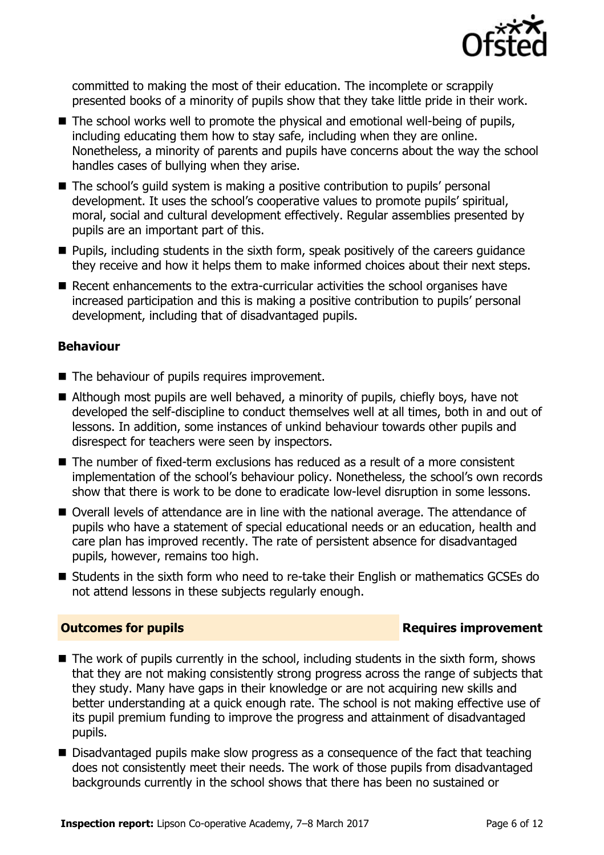

committed to making the most of their education. The incomplete or scrappily presented books of a minority of pupils show that they take little pride in their work.

- The school works well to promote the physical and emotional well-being of pupils, including educating them how to stay safe, including when they are online. Nonetheless, a minority of parents and pupils have concerns about the way the school handles cases of bullying when they arise.
- The school's quild system is making a positive contribution to pupils' personal development. It uses the school's cooperative values to promote pupils' spiritual, moral, social and cultural development effectively. Regular assemblies presented by pupils are an important part of this.
- **Pupils, including students in the sixth form, speak positively of the careers quidance** they receive and how it helps them to make informed choices about their next steps.
- Recent enhancements to the extra-curricular activities the school organises have increased participation and this is making a positive contribution to pupils' personal development, including that of disadvantaged pupils.

#### **Behaviour**

- The behaviour of pupils requires improvement.
- Although most pupils are well behaved, a minority of pupils, chiefly boys, have not developed the self-discipline to conduct themselves well at all times, both in and out of lessons. In addition, some instances of unkind behaviour towards other pupils and disrespect for teachers were seen by inspectors.
- $\blacksquare$  The number of fixed-term exclusions has reduced as a result of a more consistent implementation of the school's behaviour policy. Nonetheless, the school's own records show that there is work to be done to eradicate low-level disruption in some lessons.
- Overall levels of attendance are in line with the national average. The attendance of pupils who have a statement of special educational needs or an education, health and care plan has improved recently. The rate of persistent absence for disadvantaged pupils, however, remains too high.
- Students in the sixth form who need to re-take their English or mathematics GCSEs do not attend lessons in these subjects regularly enough.

#### **Outcomes for pupils Requires improvement**

- $\blacksquare$  The work of pupils currently in the school, including students in the sixth form, shows that they are not making consistently strong progress across the range of subjects that they study. Many have gaps in their knowledge or are not acquiring new skills and better understanding at a quick enough rate. The school is not making effective use of its pupil premium funding to improve the progress and attainment of disadvantaged pupils.
- Disadvantaged pupils make slow progress as a consequence of the fact that teaching does not consistently meet their needs. The work of those pupils from disadvantaged backgrounds currently in the school shows that there has been no sustained or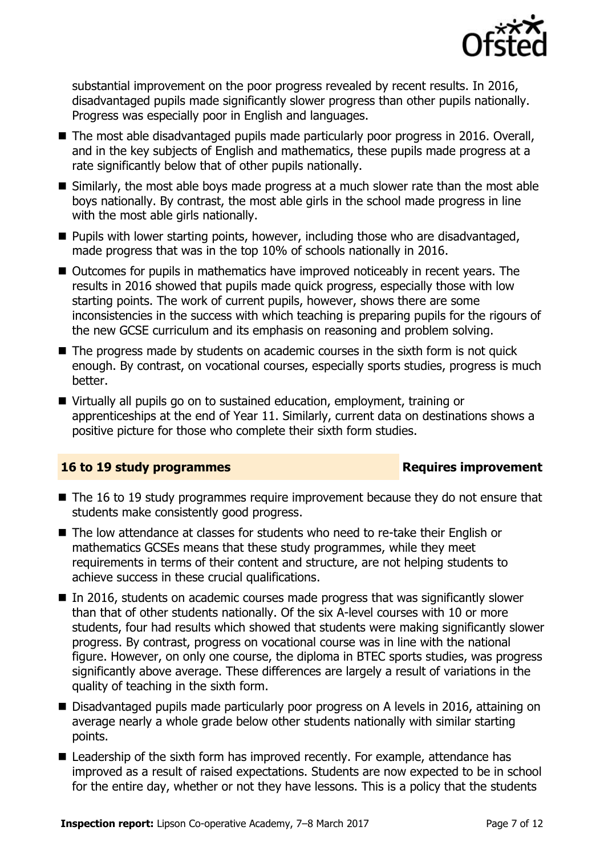

substantial improvement on the poor progress revealed by recent results. In 2016, disadvantaged pupils made significantly slower progress than other pupils nationally. Progress was especially poor in English and languages.

- The most able disadvantaged pupils made particularly poor progress in 2016. Overall, and in the key subjects of English and mathematics, these pupils made progress at a rate significantly below that of other pupils nationally.
- Similarly, the most able boys made progress at a much slower rate than the most able boys nationally. By contrast, the most able girls in the school made progress in line with the most able girls nationally.
- **Pupils with lower starting points, however, including those who are disadvantaged,** made progress that was in the top 10% of schools nationally in 2016.
- Outcomes for pupils in mathematics have improved noticeably in recent years. The results in 2016 showed that pupils made quick progress, especially those with low starting points. The work of current pupils, however, shows there are some inconsistencies in the success with which teaching is preparing pupils for the rigours of the new GCSE curriculum and its emphasis on reasoning and problem solving.
- $\blacksquare$  The progress made by students on academic courses in the sixth form is not quick enough. By contrast, on vocational courses, especially sports studies, progress is much better.
- Virtually all pupils go on to sustained education, employment, training or apprenticeships at the end of Year 11. Similarly, current data on destinations shows a positive picture for those who complete their sixth form studies.

### **16 to 19 study programmes Requires improvement**

- The 16 to 19 study programmes require improvement because they do not ensure that students make consistently good progress.
- The low attendance at classes for students who need to re-take their English or mathematics GCSEs means that these study programmes, while they meet requirements in terms of their content and structure, are not helping students to achieve success in these crucial qualifications.
- $\blacksquare$  In 2016, students on academic courses made progress that was significantly slower than that of other students nationally. Of the six A-level courses with 10 or more students, four had results which showed that students were making significantly slower progress. By contrast, progress on vocational course was in line with the national figure. However, on only one course, the diploma in BTEC sports studies, was progress significantly above average. These differences are largely a result of variations in the quality of teaching in the sixth form.
- Disadvantaged pupils made particularly poor progress on A levels in 2016, attaining on average nearly a whole grade below other students nationally with similar starting points.
- Leadership of the sixth form has improved recently. For example, attendance has improved as a result of raised expectations. Students are now expected to be in school for the entire day, whether or not they have lessons. This is a policy that the students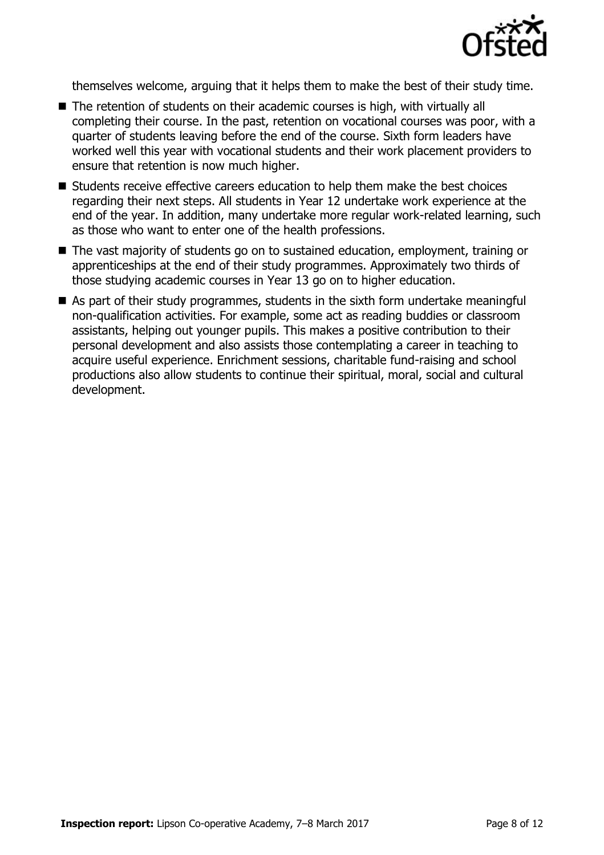

themselves welcome, arguing that it helps them to make the best of their study time.

- The retention of students on their academic courses is high, with virtually all completing their course. In the past, retention on vocational courses was poor, with a quarter of students leaving before the end of the course. Sixth form leaders have worked well this year with vocational students and their work placement providers to ensure that retention is now much higher.
- $\blacksquare$  Students receive effective careers education to help them make the best choices regarding their next steps. All students in Year 12 undertake work experience at the end of the year. In addition, many undertake more regular work-related learning, such as those who want to enter one of the health professions.
- The vast majority of students go on to sustained education, employment, training or apprenticeships at the end of their study programmes. Approximately two thirds of those studying academic courses in Year 13 go on to higher education.
- As part of their study programmes, students in the sixth form undertake meaningful non-qualification activities. For example, some act as reading buddies or classroom assistants, helping out younger pupils. This makes a positive contribution to their personal development and also assists those contemplating a career in teaching to acquire useful experience. Enrichment sessions, charitable fund-raising and school productions also allow students to continue their spiritual, moral, social and cultural development.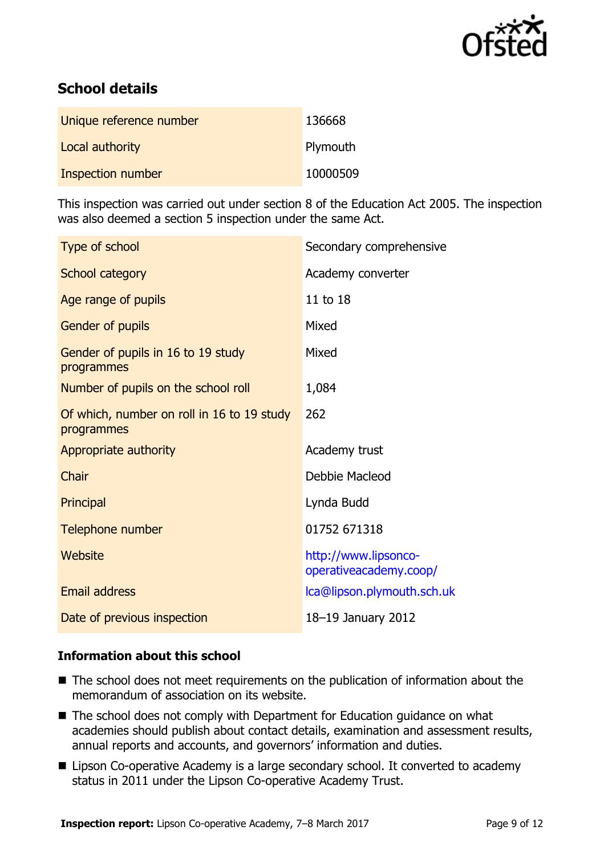

# **School details**

| Unique reference number | 136668   |
|-------------------------|----------|
| Local authority         | Plymouth |
| Inspection number       | 10000509 |

This inspection was carried out under section 8 of the Education Act 2005. The inspection was also deemed a section 5 inspection under the same Act.

| Type of school                                           | Secondary comprehensive                        |
|----------------------------------------------------------|------------------------------------------------|
| School category                                          | Academy converter                              |
| Age range of pupils                                      | 11 to 18                                       |
| Gender of pupils                                         | Mixed                                          |
| Gender of pupils in 16 to 19 study<br>programmes         | Mixed                                          |
| Number of pupils on the school roll                      | 1,084                                          |
| Of which, number on roll in 16 to 19 study<br>programmes | 262                                            |
| Appropriate authority                                    | Academy trust                                  |
| Chair                                                    | Debbie Macleod                                 |
| Principal                                                | Lynda Budd                                     |
| Telephone number                                         | 01752 671318                                   |
| Website                                                  | http://www.lipsonco-<br>operativeacademy.coop/ |
| <b>Email address</b>                                     | Ica@lipson.plymouth.sch.uk                     |
| Date of previous inspection                              | 18-19 January 2012                             |

#### **Information about this school**

- The school does not meet requirements on the publication of information about the memorandum of association on its website.
- The school does not comply with Department for Education guidance on what academies should publish about contact details, examination and assessment results, annual reports and accounts, and governors' information and duties.
- Lipson Co-operative Academy is a large secondary school. It converted to academy status in 2011 under the Lipson Co-operative Academy Trust.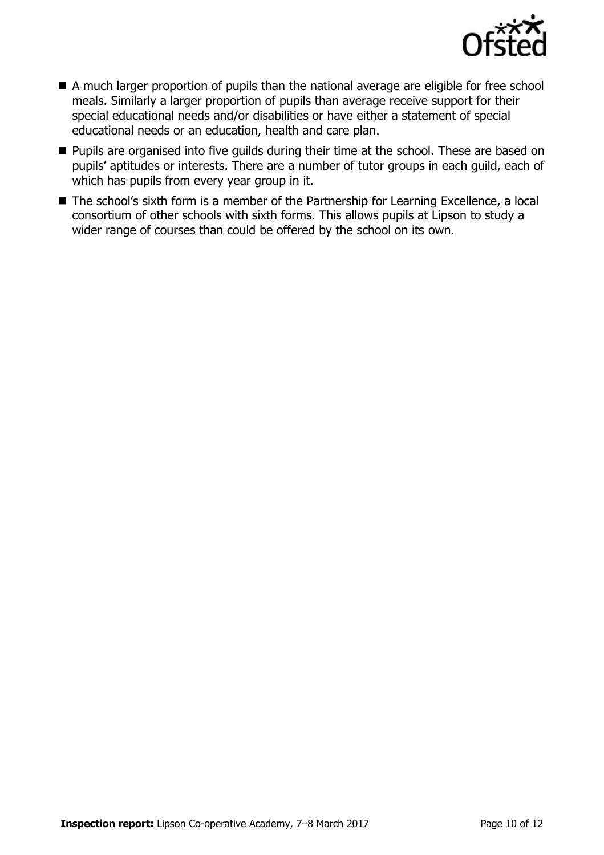

- A much larger proportion of pupils than the national average are eligible for free school meals. Similarly a larger proportion of pupils than average receive support for their special educational needs and/or disabilities or have either a statement of special educational needs or an education, health and care plan.
- **Pupils are organised into five guilds during their time at the school. These are based on** pupils' aptitudes or interests. There are a number of tutor groups in each guild, each of which has pupils from every year group in it.
- The school's sixth form is a member of the Partnership for Learning Excellence, a local consortium of other schools with sixth forms. This allows pupils at Lipson to study a wider range of courses than could be offered by the school on its own.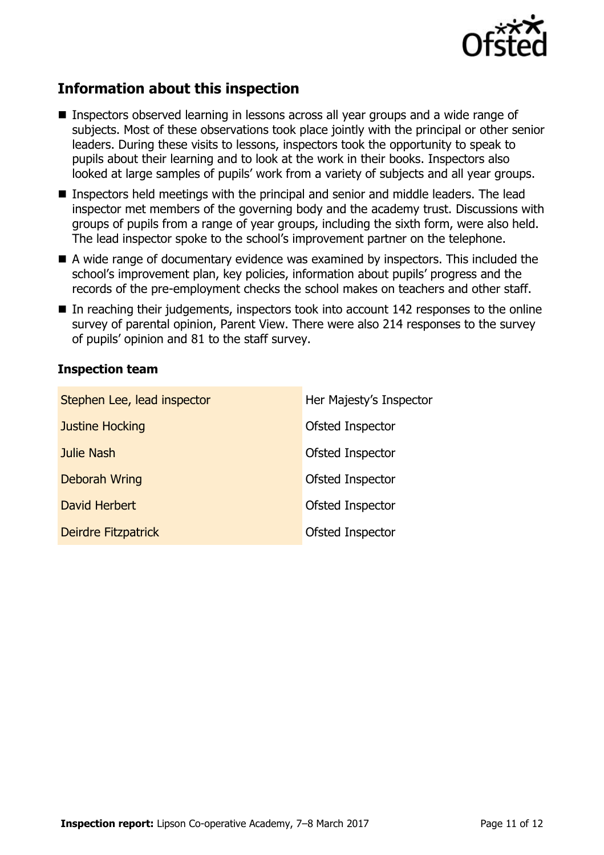

# **Information about this inspection**

- Inspectors observed learning in lessons across all year groups and a wide range of subjects. Most of these observations took place jointly with the principal or other senior leaders. During these visits to lessons, inspectors took the opportunity to speak to pupils about their learning and to look at the work in their books. Inspectors also looked at large samples of pupils' work from a variety of subjects and all year groups.
- Inspectors held meetings with the principal and senior and middle leaders. The lead inspector met members of the governing body and the academy trust. Discussions with groups of pupils from a range of year groups, including the sixth form, were also held. The lead inspector spoke to the school's improvement partner on the telephone.
- A wide range of documentary evidence was examined by inspectors. This included the school's improvement plan, key policies, information about pupils' progress and the records of the pre-employment checks the school makes on teachers and other staff.
- $\blacksquare$  In reaching their judgements, inspectors took into account 142 responses to the online survey of parental opinion, Parent View. There were also 214 responses to the survey of pupils' opinion and 81 to the staff survey.

### **Inspection team**

| Stephen Lee, lead inspector | Her Majesty's Inspector |
|-----------------------------|-------------------------|
| <b>Justine Hocking</b>      | Ofsted Inspector        |
| Julie Nash                  | Ofsted Inspector        |
| <b>Deborah Wring</b>        | Ofsted Inspector        |
| David Herbert               | Ofsted Inspector        |
| Deirdre Fitzpatrick         | Ofsted Inspector        |